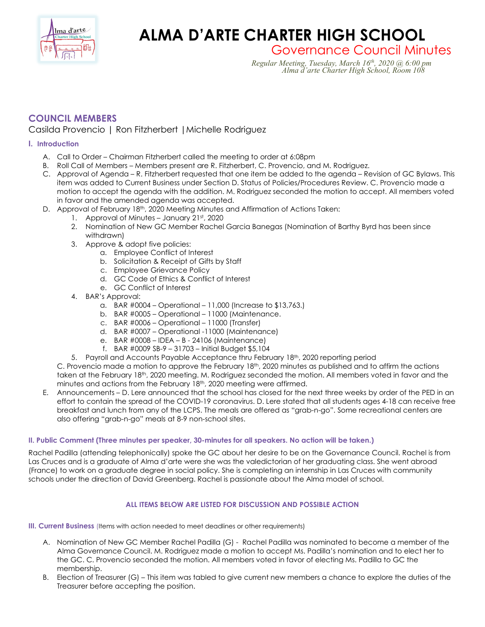

# **ALMA D'ARTE CHARTER HIGH SCHOOL**

Governance Council Minutes *Regular Meeting, Tuesday, March 16th, 2020 @ 6:00 pm Alma d'arte Charter High School, Room 108*

# **COUNCIL MEMBERS**

## Casilda Provencio | Ron Fitzherbert |Michelle Rodriguez

### **I. Introduction**

- A. Call to Order Chairman Fitzherbert called the meeting to order at 6:08pm
- B. Roll Call of Members Members present are R. Fitzherbert, C. Provencio, and M. Rodriguez.
- C. Approval of Agenda R. Fitzherbert requested that one item be added to the agenda Revision of GC Bylaws. This item was added to Current Business under Section D. Status of Policies/Procedures Review. C. Provencio made a motion to accept the agenda with the addition. M. Rodriguez seconded the motion to accept. All members voted in favor and the amended agenda was accepted.
- D. Approval of February 18th, 2020 Meeting Minutes and Affirmation of Actions Taken:
	- 1. Approval of Minutes January 21st, 2020
		- 2. Nomination of New GC Member Rachel Garcia Banegas (Nomination of Barthy Byrd has been since withdrawn)
		- 3. Approve & adopt five policies:
			- a. Employee Conflict of Interest
			- b. Solicitation & Receipt of Gifts by Staff
			- c. Employee Grievance Policy
			- d. GC Code of Ethics & Conflict of Interest
			- e. GC Conflict of Interest
		- 4. BAR's Approval:
			- a. BAR #0004 Operational 11,000 (Increase to \$13,763.)
			- b. BAR #0005 Operational 11000 (Maintenance.
			- c. BAR #0006 Operational 11000 (Transfer)
			- d. BAR #0007 Operational -11000 (Maintenance)
			- e. BAR #0008 IDEA B 24106 (Maintenance)
			- f. BAR #0009 SB-9 31703 Initial Budget \$5,104
		- 5. Payroll and Accounts Payable Acceptance thru February 18<sup>th</sup>, 2020 reporting period

C. Provencio made a motion to approve the February 18th, 2020 minutes as published and to affirm the actions taken at the February 18<sup>th</sup>, 2020 meeting. M. Rodriguez seconded the motion. All members voted in favor and the minutes and actions from the February 18<sup>th</sup>, 2020 meeting were affirmed.

E. Announcements – D. Lere announced that the school has closed for the next three weeks by order of the PED in an effort to contain the spread of the COVID-19 coronavirus. D. Lere stated that all students ages 4-18 can receive free breakfast and lunch from any of the LCPS. The meals are offered as "grab-n-go". Some recreational centers are also offering "grab-n-go" meals at 8-9 non-school sites.

#### **II. Public Comment (Three minutes per speaker, 30-minutes for all speakers. No action will be taken.)**

Rachel Padilla (attending telephonically) spoke the GC about her desire to be on the Governance Council. Rachel is from Las Cruces and is a graduate of Alma d'arte were she was the valedictorian of her graduating class. She went abroad (France) to work on a graduate degree in social policy. She is completing an internship in Las Cruces with community schools under the direction of David Greenberg. Rachel is passionate about the Alma model of school.

#### **ALL ITEMS BELOW ARE LISTED FOR DISCUSSION AND POSSIBLE ACTION**

**III. Current Business** (Items with action needed to meet deadlines or other requirements)

- A. Nomination of New GC Member Rachel Padilla (G) Rachel Padilla was nominated to become a member of the Alma Governance Council. M. Rodriguez made a motion to accept Ms. Padilla's nomination and to elect her to the GC. C. Provencio seconded the motion. All members voted in favor of electing Ms. Padilla to GC the membership.
- B. Election of Treasurer (G) This item was tabled to give current new members a chance to explore the duties of the Treasurer before accepting the position.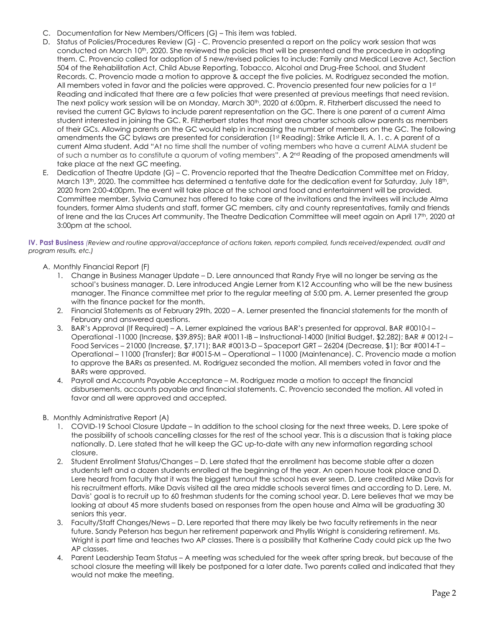- C. Documentation for New Members/Officers (G) This item was tabled.
- D. Status of Policies/Procedures Review (G) C. Provencio presented a report on the policy work session that was conducted on March 10<sup>th</sup>, 2020. She reviewed the policies that will be presented and the procedure in adopting them. C. Provencio called for adoption of 5 new/revised policies to include: Family and Medical Leave Act, Section 504 of the Rehabilitation Act, Child Abuse Reporting, Tobacco, Alcohol and Drug-Free School, and Student Records. C. Provencio made a motion to approve & accept the five policies. M. Rodriguez seconded the motion. All members voted in favor and the policies were approved. C. Provencio presented four new policies for a 1st Reading and indicated that there are a few policies that were presented at previous meetings that need revision. The next policy work session will be on Monday, March 30<sup>th</sup>, 2020 at 6:00pm. R. Fitzherbert discussed the need to revised the current GC Bylaws to include parent representation on the GC. There is one parent of a current Alma student interested in joining the GC. R. Fitzherbert states that most area charter schools allow parents as members of their GCs. Allowing parents on the GC would help in increasing the number of members on the GC. The following amendments the GC bylaws are presented for consideration (1st Reading): Strike Article II, A. 1, c. A parent of a current Alma student. Add "At no time shall the number of voting members who have a current ALMA student be of such a number as to constitute a quorum of voting members". A 2nd Reading of the proposed amendments will take place at the next GC meeting.
- E. Dedication of Theatre Update (G) C. Provencio reported that the Theatre Dedication Committee met on Friday, March 13<sup>th</sup>, 2020. The committee has determined a tentative date for the dedication event for Saturday, July 18<sup>th</sup>, 2020 from 2:00-4:00pm. The event will take place at the school and food and entertainment will be provided. Committee member, Sylvia Camunez has offered to take care of the invitations and the invitees will include Alma founders, former Alma students and staff, former GC members, city and county representatives, family and friends of Irene and the las Cruces Art community. The Theatre Dedication Committee will meet again on April 17<sup>th</sup>, 2020 at 3:00pm at the school.

#### **IV. Past Business** *(Review and routine approval/acceptance of actions taken, reports compiled, funds received/expended, audit and program results, etc.)*

- A. Monthly Financial Report (F)
	- 1. Change in Business Manager Update D. Lere announced that Randy Frye will no longer be serving as the school's business manager. D. Lere introduced Angie Lerner from K12 Accounting who will be the new business manager. The Finance committee met prior to the regular meeting at 5:00 pm. A. Lerner presented the group with the finance packet for the month.
	- 2. Financial Statements as of February 29th, 2020 A. Lerner presented the financial statements for the month of February and answered questions.
	- 3. BAR's Approval (If Required) A. Lerner explained the various BAR's presented for approval. BAR #0010-I Operational -11000 (Increase, \$39,895); BAR #0011-IB – Instructional-14000 (Initial Budget, \$2.282); BAR # 0012-I – Food Services – 21000 (Increase, \$7,171); BAR #0013-D – Spaceport GRT – 26204 (Decrease, \$1); Bar #0014-T – Operational – 11000 (Transfer); Bar #0015-M – Operational – 11000 (Maintenance). C. Provencio made a motion to approve the BARs as presented. M. Rodriguez seconded the motion. All members voted in favor and the BARs were approved.
	- 4. Payroll and Accounts Payable Acceptance M. Rodriguez made a motion to accept the financial disbursements, accounts payable and financial statements. C. Provencio seconded the motion. All voted in favor and all were approved and accepted.
- B. Monthly Administrative Report (A)
	- 1. COVID-19 School Closure Update In addition to the school closing for the next three weeks, D. Lere spoke of the possibility of schools cancelling classes for the rest of the school year. This is a discussion that is taking place nationally. D. Lere stated that he will keep the GC up-to-date with any new information regarding school closure.
	- 2. Student Enrollment Status/Changes D. Lere stated that the enrollment has become stable after a dozen students left and a dozen students enrolled at the beginning of the year. An open house took place and D. Lere heard from faculty that it was the biggest turnout the school has ever seen. D. Lere credited Mike Davis for his recruitment efforts. Mike Davis visited all the area middle schools several times and according to D. Lere, M. Davis' goal is to recruit up to 60 freshman students for the coming school year. D. Lere believes that we may be looking at about 45 more students based on responses from the open house and Alma will be graduating 30 seniors this year.
	- 3. Faculty/Staff Changes/News D. Lere reported that there may likely be two faculty retirements in the near future. Sandy Peterson has begun her retirement paperwork and Phyllis Wright is considering retirement. Ms. Wright is part time and teaches two AP classes. There is a possibility that Katherine Cady could pick up the two AP classes.
	- 4. Parent Leadership Team Status A meeting was scheduled for the week after spring break, but because of the school closure the meeting will likely be postponed for a later date. Two parents called and indicated that they would not make the meeting.